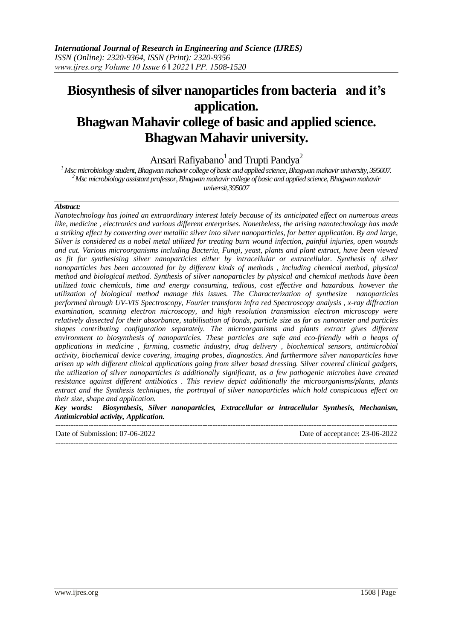# **Biosynthesis of silver nanoparticles from bacteria and it's application. Bhagwan Mahavir college of basic and applied science. Bhagwan Mahavir university.**

Ansari Rafiyabano<sup>1</sup> and Trupti Pandya<sup>2</sup>

*<sup>1</sup> Msc microbiology student, Bhagwan mahavir college of basic and applied science, Bhagwan mahavir university, 395007. <sup>2</sup>Msc microbiology assistant professor, Bhagwan mahavir college of basic and applied science, Bhagwan mahavir universit,395007*

## *Abstract:*

*Nanotechnology has joined an extraordinary interest lately because of its anticipated effect on numerous areas like, medicine , electronics and various different enterprises. Nonetheless, the arising nanotechnology has made a striking effect by converting over metallic silver into silver nanoparticles, for better application. By and large, Silver is considered as a nobel metal utilized for treating burn wound infection, painful injuries, open wounds and cut. Various microorganisms including Bacteria, Fungi, yeast, plants and plant extract, have been viewed as fit for synthesising silver nanoparticles either by intracellular or extracellular. Synthesis of silver nanoparticles has been accounted for by different kinds of methods , including chemical method, physical method and biological method. Synthesis of silver nanoparticles by physical and chemical methods have been utilized toxic chemicals, time and energy consuming, tedious, cost effective and hazardous. however the utilization of biological method manage this issues. The Characterization of synthesize nanoparticles performed through UV-VIS Spectroscopy, Fourier transform infra red Spectroscopy analysis , x-ray diffraction examination, scanning electron microscopy, and high resolution transmission electron microscopy were relatively dissected for their absorbance, stabilisation of bonds, particle size as far as nanometer and particles shapes contributing configuration separately. The microorganisms and plants extract gives different environment to biosynthesis of nanoparticles. These particles are safe and eco-friendly with a heaps of applications in medicine , farming, cosmetic industry, drug delivery , biochemical sensors, antimicrobial activity, biochemical device covering, imaging probes, diagnostics. And furthermore silver nanoparticles have arisen up with different clinical applications going from silver based dressing. Silver covered clinical gadgets, the utilization of silver nanoparticles is additionally significant, as a few pathogenic microbes have created resistance against different antibiotics . This review depict additionally the microorganisms/plants, plants extract and the Synthesis techniques, the portrayal of silver nanoparticles which hold conspicuous effect on their size, shape and application.*

*Key words: Biosynthesis, Silver nanoparticles, Extracellular or intracellular Synthesis, Mechanism, Antimicrobial activity, Application.* 

| Date of Submission: 07-06-2022 | Date of acceptance: 23-06-2022 |
|--------------------------------|--------------------------------|
|                                |                                |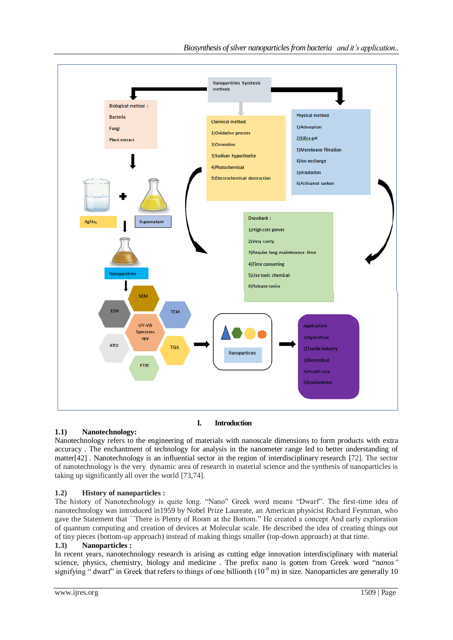*Biosynthesis of silver nanoparticlesfrom bacteria and it's application..*



# **1.1) Nanotechnology:**

Nanotechnology refers to the engineering of materials with nanoscale dimensions to form products with extra accuracy . The enchantment of technology for analysis in the nanometer range led to better understanding of matter[42] *.* Nanotechnology is an influential sector in the region of interdisciplinary research [72]. The sector of nanotechnology is the very dynamic area of research in material science and the synthesis of nanoparticles is taking up significantly all over the world [73,74].

# **1.2) History of nanoparticles :**

The history of Nanotechnology is quite long. "Nano" Greek word means "Dwarf". The first-time idea of nanotechnology was introduced in1959 by Nobel Prize Laureate, an American physicist Richard Feynman, who gave the Statement that ``There is Plenty of Room at the Bottom." He created a concept And early exploration of quantum computing and creation of devices at Molecular scale. He described the idea of creating things out of tiny pieces (bottom-up approach) instead of making things smaller (top-down approach) at that time.

# **1.3) Nanoparticles :**

In recent years, nanotechnology research is arising as cutting edge innovation interdisciplinary with material science, physics, chemistry, biology and medicine . The prefix nano is gotten from Greek word "*nanos"* signifying " dwarf" in Greek that refers to things of one billionth  $(10^{-9} \text{ m})$  in size. Nanoparticles are generally 10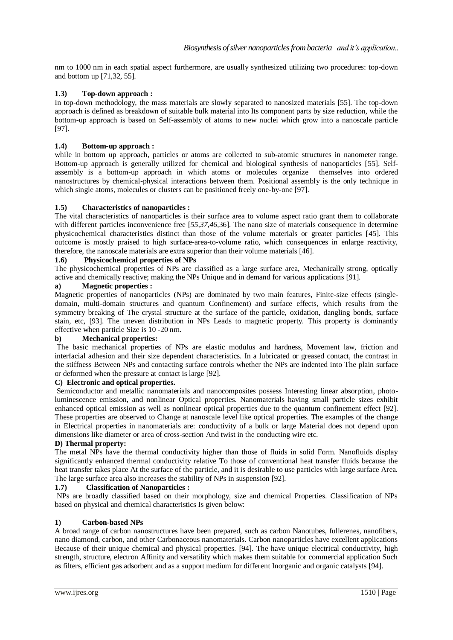nm to 1000 nm in each spatial aspect furthermore, are usually synthesized utilizing two procedures: top-down and bottom up [71,32, 55].

# **1.3) Top-down approach :**

In top-down methodology, the mass materials are slowly separated to nanosized materials [55]. The top-down approach is defined as breakdown of suitable bulk material into Its component parts by size reduction, while the bottom-up approach is based on Self-assembly of atoms to new nuclei which grow into a nanoscale particle [97].

# **1.4) Bottom-up approach :**

while in bottom up approach, particles or atoms are collected to sub-atomic structures in nanometer range. Bottom-up approach is generally utilized for chemical and biological synthesis of nanoparticles [55]. Selfassembly is a bottom-up approach in which atoms or molecules organize themselves into ordered nanostructures by chemical-physical interactions between them. Positional assembly is the only technique in which single atoms, molecules or clusters can be positioned freely one-by-one [97].

## **1.5) Characteristics of nanoparticles :**

The vital characteristics of nanoparticles is their surface area to volume aspect ratio grant them to collaborate with different particles inconvenience free [*55,37,46*,36]*.* The nano size of materials consequence in determine physicochemical characteristics distinct than those of the volume materials or greater particles [45]. This outcome is mostly praised to high surface-area-to-volume ratio, which consequences in enlarge reactivity, therefore, the nanoscale materials are extra superior than their volume materials [46].

## **1.6) Physicochemical properties of NPs**

The physicochemical properties of NPs are classified as a large surface area, Mechanically strong, optically active and chemically reactive; making the NPs Unique and in demand for various applications [91].

# **a) Magnetic properties :**

Magnetic properties of nanoparticles (NPs) are dominated by two main features, Finite-size effects (singledomain, multi-domain structures and quantum Confinement) and surface effects, which results from the symmetry breaking of The crystal structure at the surface of the particle, oxidation, dangling bonds, surface stain, etc, [93]. The uneven distribution in NPs Leads to magnetic property. This property is dominantly effective when particle Size is 10 -20 nm.

## **b) Mechanical properties:**

The basic mechanical properties of NPs are elastic modulus and hardness, Movement law, friction and interfacial adhesion and their size dependent characteristics. In a lubricated or greased contact, the contrast in the stiffness Between NPs and contacting surface controls whether the NPs are indented into The plain surface or deformed when the pressure at contact is large [92].

# **C) Electronic and optical properties.**

Semiconductor and metallic nanomaterials and nanocomposites possess Interesting linear absorption, photoluminescence emission, and nonlinear Optical properties. Nanomaterials having small particle sizes exhibit enhanced optical emission as well as nonlinear optical properties due to the quantum confinement effect [92]. These properties are observed to Change at nanoscale level like optical properties. The examples of the change in Electrical properties in nanomaterials are: conductivity of a bulk or large Material does not depend upon dimensions like diameter or area of cross-section And twist in the conducting wire etc.

## **D) Thermal property:**

The metal NPs have the thermal conductivity higher than those of fluids in solid Form. Nanofluids display significantly enhanced thermal conductivity relative To those of conventional heat transfer fluids because the heat transfer takes place At the surface of the particle, and it is desirable to use particles with large surface Area. The large surface area also increases the stability of NPs in suspension [92].

## **1.7) Classification of Nanoparticles :**

NPs are broadly classified based on their morphology, size and chemical Properties. Classification of NPs based on physical and chemical characteristics Is given below:

## **1) Carbon-based NPs**

A broad range of carbon nanostructures have been prepared, such as carbon Nanotubes, fullerenes, nanofibers, nano diamond, carbon, and other Carbonaceous nanomaterials. Carbon nanoparticles have excellent applications Because of their unique chemical and physical properties. [94]. The have unique electrical conductivity, high strength, structure, electron Affinity and versatility which makes them suitable for commercial application Such as filters, efficient gas adsorbent and as a support medium for different Inorganic and organic catalysts [94].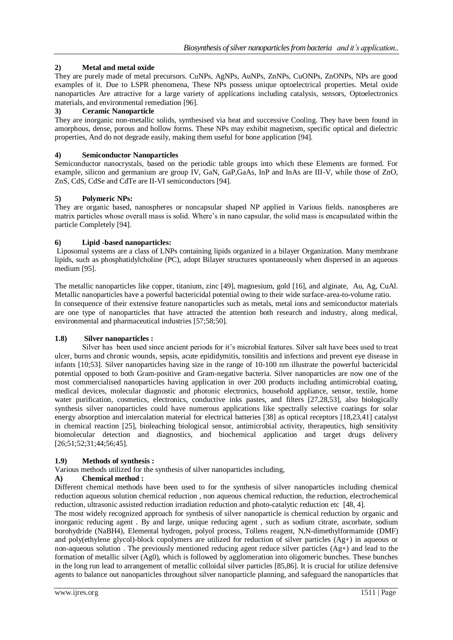# **2) Metal and metal oxide**

They are purely made of metal precursors. CuNPs, AgNPs, AuNPs, ZnNPs, CuONPs, ZnONPs, NPs are good examples of it. Due to LSPR phenomena, These NPs possess unique optoelectrical properties. Metal oxide nanoparticles Are attractive for a large variety of applications including catalysis, sensors, Optoelectronics materials, and environmental remediation [96].

# **3) Ceramic Nanoparticle**

They are inorganic non-metallic solids, synthesised via heat and successive Cooling. They have been found in amorphous, dense, porous and hollow forms. These NPs may exhibit magnetism, specific optical and dielectric properties, And do not degrade easily, making them useful for bone application [94].

# **4) Semiconductor Nanoparticles**

Semiconductor nanocrystals, based on the periodic table groups into which these Elements are formed. For example, silicon and germanium are group IV, GaN, GaP,GaAs, InP and InAs are III-V, while those of ZnO, ZnS, CdS, CdSe and CdTe are II-VI semiconductors [94].

# **5) Polymeric NPs:**

They are organic based, nanospheres or noncapsular shaped NP applied in Various fields. nanospheres are matrix particles whose overall mass is solid. Where's in nano capsular, the solid mass is encapsulated within the particle Completely [94].

# **6) Lipid -based nanoparticles:**

Liposomal systems are a class of LNPs containing lipids organized in a bilayer Organization. Many membrane lipids, such as phosphatidylcholine (PC), adopt Bilayer structures spontaneously when dispersed in an aqueous medium [95].

The metallic nanoparticles like copper, titanium, zinc [49], magnesium, gold [16], and alginate, Au, Ag, CuAl. Metallic nanoparticles have a powerful bactericidal potential owing to their wide surface-area-to-volume ratio. In consequence of their extensive feature nanoparticles such as metals, metal ions and semiconductor materials are one type of nanoparticles that have attracted the attention both research and industry, along medical, environmental and pharmaceutical industries [57;58;50].

## **1.8) Silver nanoparticles :**

Silver has been used since ancient periods for it's microbial features. Silver salt have bees used to treat ulcer, burns and chronic wounds, sepsis, acute epididymitis, tonsilitis and infections and prevent eye disease in infants [10;53]. Silver nanoparticles having size in the range of 10-100 nm illustrate the powerful bactericidal potential opposed to both Gram-positive and Gram-negative bacteria. Silver nanoparticles are now one of the most commercialised nanoparticles having application in over 200 products including antimicrobial coating, medical devices, molecular diagnostic and photonic electronics, household appliance, sensor, textile, home water purification, cosmetics, electronics, conductive inks pastes, and filters [27,28,53], also biologically synthesis silver nanoparticles could have numerous applications like spectrally selective coatings for solar energy absorption and intercalation material for electrical batteries [38] as optical receptors [18,23,41] catalyst in chemical reaction [25], bioleaching biological sensor, antimicrobial activity, therapeutics, high sensitivity biomolecular detection and diagnostics, and biochemical application and target drugs delivery [26;51;52;31;44;56;45].

# **1.9) Methods of synthesis :**

Various methods utilized for the synthesis of silver nanoparticles including,

## **A) Chemical method :**

Different chemical methods have been used to for the synthesis of silver nanoparticles including chemical reduction aqueous solution chemical reduction , non aqueous chemical reduction, the reduction, electrochemical reduction, ultrasonic assisted reduction irradiation reduction and photo-catalytic reduction etc [48, 4].

The most widely recognized approach for synthesis of silver nanoparticle is chemical reduction by organic and inorganic reducing agent . By and large, unique reducing agent , such as sodium citrate, ascorbate, sodium borohydride (NaBH4), Elemental hydrogen, polyol process, Tollens reagent, N,N-dimethylformamide (DMF) and poly(ethylene glycol)-block copolymers are utilized for reduction of silver particles (Ag+) in aqueous or non-aqueous solution. The previously mentioned reducing agent reduce silver particles  $(Ag+)$  and lead to the formation of metallic silver (Ag0), which is followed by agglomeration into oligomeric bunches. These bunches in the long run lead to arrangement of metallic colloidal silver particles [85,86]. It is crucial for utilize defensive agents to balance out nanoparticles throughout silver nanoparticle planning, and safeguard the nanoparticles that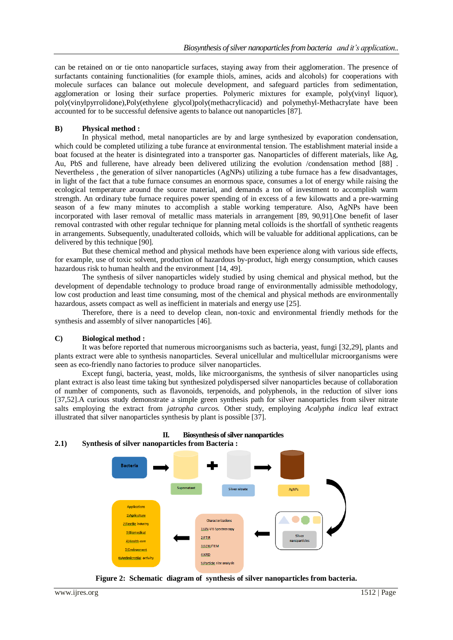can be retained on or tie onto nanoparticle surfaces, staying away from their agglomeration. The presence of surfactants containing functionalities (for example thiols, amines, acids and alcohols) for cooperations with molecule surfaces can balance out molecule development, and safeguard particles from sedimentation, agglomeration or losing their surface properties. Polymeric mixtures for example, poly(vinyl liquor), poly(vinylpyrrolidone),Poly(ethylene glycol)poly(methacrylicacid) and polymethyl-Methacrylate have been accounted for to be successful defensive agents to balance out nanoparticles [87].

#### **B) Physical method :**

In physical method, metal nanoparticles are by and large synthesized by evaporation condensation, which could be completed utilizing a tube furance at environmental tension. The establishment material inside a boat focused at the heater is disintegrated into a transporter gas. Nanoparticles of different materials, like Ag, Au, PbS and fullerene, have already been delivered utilizing the evolution /condensation method [88]. Nevertheless , the generation of silver nanoparticles (AgNPs) utilizing a tube furnace has a few disadvantages, in light of the fact that a tube furnace consumes an enormous space, consumes a lot of energy while raising the ecological temperature around the source material, and demands a ton of investment to accomplish warm strength. An ordinary tube furnace requires power spending of in excess of a few kilowatts and a pre-warming season of a few many minutes to accomplish a stable working temperature. Also, AgNPs have been incorporated with laser removal of metallic mass materials in arrangement [89, 90,91].One benefit of laser removal contrasted with other regular technique for planning metal colloids is the shortfall of synthetic reagents in arrangements. Subsequently, unadulterated colloids, which will be valuable for additional applications, can be delivered by this technique [90].

But these chemical method and physical methods have been experience along with various side effects, for example, use of toxic solvent, production of hazardous by-product, high energy consumption, which causes hazardous risk to human health and the environment [14, 49].

The synthesis of silver nanoparticles widely studied by using chemical and physical method, but the development of dependable technology to produce broad range of environmentally admissible methodology, low cost production and least time consuming, most of the chemical and physical methods are environmentally hazardous, assets compact as well as inefficient in materials and energy use [25].

Therefore, there is a need to develop clean, non-toxic and environmental friendly methods for the synthesis and assembly of silver nanoparticles [46].

#### **C) Biological method :**

It was before reported that numerous microorganisms such as bacteria, yeast, fungi [32,29], plants and plants extract were able to synthesis nanoparticles. Several unicellular and multicellular microorganisms were seen as eco-friendly nano factories to produce silver nanoparticles.

Except fungi, bacteria, yeast, molds, like microorganisms, the synthesis of silver nanoparticles using plant extract is also least time taking but synthesized polydispersed silver nanoparticles because of collaboration of number of components, such as flavonoids, terpenoids, and polyphenols, in the reduction of silver ions [37,52].A curious study demonstrate a simple green synthesis path for silver nanoparticles from silver nitrate salts employing the extract from *jatropha curcos.* Other study, employing *Acalypha indica* leaf extract illustrated that silver nanoparticles synthesis by plant is possible [37].



**Figure 2: Schematic diagram of synthesis of silver nanoparticles from bacteria.**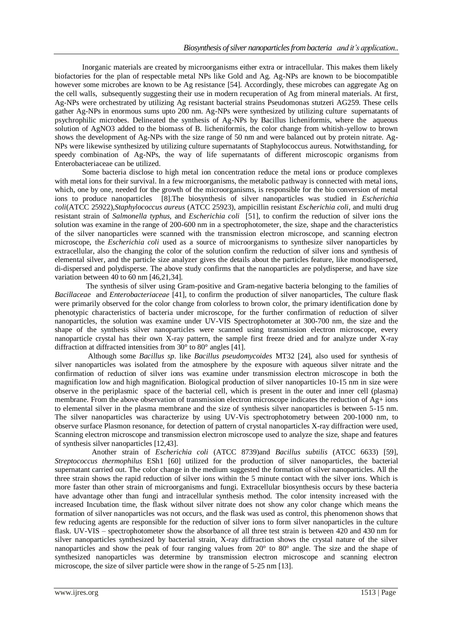Inorganic materials are created by microorganisms either extra or intracellular. This makes them likely biofactories for the plan of respectable metal NPs like Gold and Ag. Ag-NPs are known to be biocompatible however some microbes are known to be Ag resistance [54]. Accordingly, these microbes can aggregate Ag on the cell walls, subsequently suggesting their use in modern recuperation of Ag from mineral materials. At first, Ag-NPs were orchestrated by utilizing Ag resistant bacterial strains Pseudomonas stutzeri AG259. These cells gather Ag-NPs in enormous sums upto 200 nm. Ag-NPs were synthesized by utilizing culture supernatants of psychrophilic microbes. Delineated the synthesis of Ag-NPs by Bacillus licheniformis, where the aqueous solution of AgNO3 added to the biomass of B. licheniformis, the color change from whitish-yellow to brown shows the development of Ag-NPs with the size range of 50 nm and were balanced out by protein nitrate. Ag-NPs were likewise synthesized by utilizing culture supernatants of Staphylococcus aureus. Notwithstanding, for speedy combination of Ag-NPs, the way of life supernatants of different microscopic organisms from Enterobacteriaceae can be utilized.

Some bacteria disclose to high metal ion concentration reduce the metal ions or produce complexes with metal ions for their survival. In a few microorganisms, the metabolic pathway is connected with metal ions, which, one by one, needed for the growth of the microorganisms, is responsible for the bio conversion of metal ions to produce nanoparticles [8].The biosynthesis of silver nanoparticles was studied in *Escherichia coli*(ATCC 25922),*Staphylococcus aureus* (ATCC 25923), ampicillin resistant *Escherichia coli*, and multi drug resistant strain of *Salmonella typhus,* and *Escherichia coli* [51], to confirm the reduction of silver ions the solution was examine in the range of 200-600 nm in a spectrophotometer, the size, shape and the characteristics of the silver nanoparticles were scanned with the transmission electron microscope, and scanning electron microscope, the *Escherichia coli* used as a source of microorganisms to synthesize silver nanoparticles by extracellular, also the changing the color of the solution confirm the reduction of silver ions and synthesis of elemental silver, and the particle size analyzer gives the details about the particles feature, like monodispersed, di-dispersed and polydisperse. The above study confirms that the nanoparticles are polydisperse, and have size variation between 40 to 60 nm [46,21,34].

 The synthesis of silver using Gram-positive and Gram-negative bacteria belonging to the families of *Bacillaceae* and *Enterobacteriaceae* [41], to confirm the production of silver nanoparticles, The culture flask were primarily observed for the color change from colorless to brown color, the primary identification done by phenotypic characteristics of bacteria under microscope, for the further confirmation of reduction of silver nanoparticles, the solution was examine under UV-VIS Spectrophotometer at 300-700 nm, the size and the shape of the synthesis silver nanoparticles were scanned using transmission electron microscope, every nanoparticle crystal has their own X-ray pattern, the sample first freeze dried and for analyze under X-ray diffraction at diffracted intensities from 30° to 80° angles [41].

 Although some *Bacillus sp*. like *Bacillus pseudomycoides* MT32 [24], also used for synthesis of silver nanoparticles was isolated from the atmosphere by the exposure with aqueous silver nitrate and the confirmation of reduction of silver ions was examine under transmission electron microscope in both the magnification low and high magnification. Biological production of silver nanoparticles 10-15 nm in size were observe in the periplasmic space of the bacterial cell, which is present in the outer and inner cell (plasma) membrane. From the above observation of transmission electron microscope indicates the reduction of Ag+ ions to elemental silver in the plasma membrane and the size of synthesis silver nanoparticles is between 5-15 nm. The silver nanoparticles was characterize by using UV-Vis spectrophotometry between 200-1000 nm, to observe surface Plasmon resonance, for detection of pattern of crystal nanoparticles X-ray diffraction were used, Scanning electron microscope and transmission electron microscope used to analyze the size, shape and features of synthesis silver nanoparticles [12,43].

 Another strain of *Escherichia coli* (ATCC 8739)and *Bacillus subtilis* (ATCC 6633) [59], *Streptococcus thermophilus* ESh1 [60] utilized for the production of silver nanoparticles, the bacterial supernatant carried out. The color change in the medium suggested the formation of silver nanoparticles. All the three strain shows the rapid reduction of silver ions within the 5 minute contact with the silver ions. Which is more faster than other strain of microorganisms and fungi. Extracellular biosynthesis occurs by these bacteria have advantage other than fungi and intracellular synthesis method. The color intensity increased with the increased Incubation time, the flask without silver nitrate does not show any color change which means the formation of silver nanoparticles was not occurs, and the flask was used as control, this phenomenon shows that few reducing agents are responsible for the reduction of silver ions to form silver nanoparticles in the culture flask. UV-VIS – spectrophotometer show the absorbance of all three test strain is between 420 and 430 nm for silver nanoparticles synthesized by bacterial strain, X-ray diffraction shows the crystal nature of the silver nanoparticles and show the peak of four ranging values from 20° to 80° angle. The size and the shape of synthesized nanoparticles was determine by transmission electron microscope and scanning electron microscope, the size of silver particle were show in the range of 5-25 nm [13].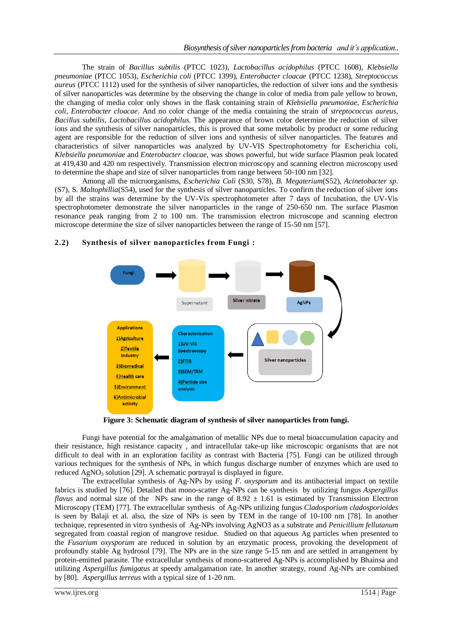The strain of *Bacillus subtilis* (PTCC 1023), *Lactobacillus acidophilus* (PTCC 1608), *Klebsiella pneumoniae* (PTCC 1053), *Escherichia coli* (PTCC 1399), *Enterobacter cloacae* (PTCC 1238), *Streptococcus aureus* (PTCC 1112) used for the synthesis of silver nanoparticles, the reduction of silver ions and the synthesis of silver nanoparticles was determine by the observing the change in color of media from pale yellow to brown, the changing of media color only shows in the flask containing strain of *Klebsiella pneumoniae*, *Escherichia coli*, *Enterobacter cloacae*. And no color change of the media containing the strain of *streptococcus aureus*, *Bacillus subtilis*, *Lactobacillus acidophilus*. The appearance of brown color determine the reduction of silver ions and the synthesis of silver nanoparticles, this is proved that some metabolic by product or some reducing agent are responsible for the reduction of silver ions and synthesis of silver nanoparticles. The features and characteristics of silver nanoparticles was analyzed by UV-VIS Spectrophotometry for Escherichia coli, *Klebsiella pneumoniae* and *Enterobacter cloacae*, was shows powerful, but wide surface Plasmon peak located at 419,430 and 420 nm respectively. Transmission electron microscopy and scanning electron microscopy used to determine the shape and size of silver nanoparticles from range between 50-100 nm [32].

Among all the microorganisms, *Escherichia Coli* (S30, S78)*, B. Megaterium*(S52), *Acinetobacter sp*. (S7), S. *Maltophillia*(S54), used for the synthesis of silver nanoparticles. To confirm the reduction of silver ions by all the strains was determine by the UV-Vis spectrophotometer after 7 days of Incubation, the UV-Vis spectrophotometer demonstrate the silver nanoparticles in the range of 250-650 nm. The surface Plasmon resonance peak ranging from 2 to 100 nm. The transmission electron microscope and scanning electron microscope determine the size of silver nanoparticles between the range of 15-50 nm [57].



# **2.2) Synthesis of silver nanoparticles from Fungi :**

**Figure 3: Schematic diagram of synthesis of silver nanoparticles from fungi.**

Fungi have potential for the amalgamation of metallic NPs due to metal bioaccumulation capacity and their resistance, high resistance capacity , and intracellular take-up like microscopic organisms that are not difficult to deal with in an exploration facility as contrast with Bacteria [75]. Fungi can be utilized through various techniques for the synthesis of NPs, in which fungus discharge number of enzymes which are used to reduced  $AgNO<sub>3</sub>$  solution [29]. A schematic portrayal is displayed in figure.

The extracellular synthesis of Ag-NPs by using *F*. *oxysporum* and its antibacterial impact on textile fabrics is studied by [76]. Detailed that mono-scatter Ag-NPs can be synthesis by utilizing fungus *Aspergillus flavus* and normal size of the NPs saw in the range of  $8.92 \pm 1.61$  is estimated by Transmission Electron Microscopy (TEM) [77]. The extracellular synthesis of Ag-NPs utilizing fungus *Cladosporium cladosporioides* is seen by Balaji et al. also, the size of NPs is seen by TEM in the range of 10-100 nm [78]. In another technique, represented in vitro synthesis of Ag-NPs involving AgNO3 as a substrate and *Penicillium fellutanum* segregated from coastal region of mangrove residue. Studied on that aqueous Ag particles when presented to the *Fusarium oxysporum* are reduced in solution by an enzymatic process, provoking the development of profoundly stable Ag hydrosol [79]. The NPs are in the size range 5-15 nm and are settled in arrangement by protein-emitted parasite. The extracellular synthesis of mono-scattered Ag-NPs is accomplished by Bhainsa and utilizing *Aspergillus fumigatus* at speedy amalgamation rate. In another strategy, round Ag-NPs are combined by [80]. *Aspergillus terreus* with a typical size of 1-20 nm.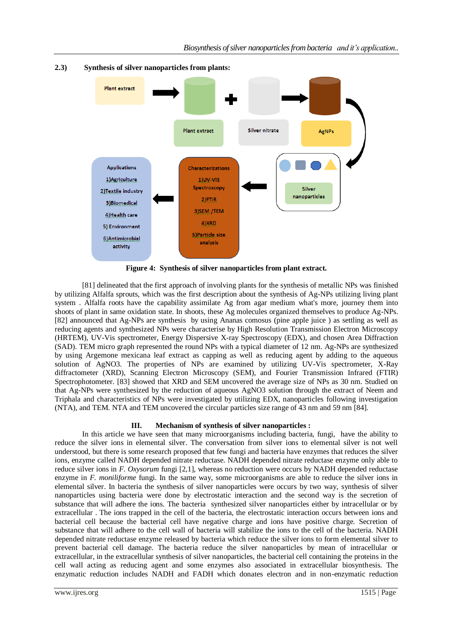

# **2.3) Synthesis of silver nanoparticles from plants:**

**Figure 4: Synthesis of silver nanoparticles from plant extract.**

[81] delineated that the first approach of involving plants for the synthesis of metallic NPs was finished by utilizing Alfalfa sprouts, which was the first description about the synthesis of Ag-NPs utilizing living plant system . Alfalfa roots have the capability assimilate Ag from agar medium what's more, journey them into shoots of plant in same oxidation state. In shoots, these Ag molecules organized themselves to produce Ag-NPs. [82] announced that Ag-NPs are synthesis by using Ananas comosus (pine apple juice ) as settling as well as reducing agents and synthesized NPs were characterise by High Resolution Transmission Electron Microscopy (HRTEM), UV-Vis spectrometer, Energy Dispersive X-ray Spectroscopy (EDX), and chosen Area Diffraction (SAD). TEM micro graph represented the round NPs with a typical diameter of 12 nm. Ag-NPs are synthesized by using Argemone mexicana leaf extract as capping as well as reducing agent by adding to the aqueous solution of AgNO3. The properties of NPs are examined by utilizing UV-Vis spectrometer, X-Ray diffractometer (XRD), Scanning Electron Microscopy (SEM), and Fourier Transmission Infrared (FTIR) Spectrophotometer. [83] showed that XRD and SEM uncovered the average size of NPs as 30 nm. Studied on that Ag-NPs were synthesized by the reduction of aqueous AgNO3 solution through the extract of Neem and Triphala and characteristics of NPs were investigated by utilizing EDX, nanoparticles following investigation (NTA), and TEM. NTA and TEM uncovered the circular particles size range of 43 nm and 59 nm [84].

## **III. Mechanism of synthesis of silver nanoparticles :**

In this article we have seen that many microorganisms including bacteria, fungi, have the ability to reduce the silver ions in elemental silver. The conversation from silver ions to elemental silver is not well understood, but there is some research proposed that few fungi and bacteria have enzymes that reduces the silver ions, enzyme called NADH depended nitrate reductase. NADH depended nitrate reductase enzyme only able to reduce silver ions in *F. Oxysorum* fungi [2,1], whereas no reduction were occurs by NADH depended reductase enzyme in *F. moniliforme* fungi. In the same way, some microorganisms are able to reduce the silver ions in elemental silver. In bacteria the synthesis of silver nanoparticles were occurs by two way, synthesis of silver nanoparticles using bacteria were done by electrostatic interaction and the second way is the secretion of substance that will adhere the ions. The bacteria synthesized silver nanoparticles either by intracellular or by extracellular . The ions trapped in the cell of the bacteria, the electrostatic interaction occurs between ions and bacterial cell because the bacterial cell have negative charge and ions have positive charge. Secretion of substance that will adhere to the cell wall of bacteria will stabilize the ions to the cell of the bacteria. NADH depended nitrate reductase enzyme released by bacteria which reduce the silver ions to form elemental silver to prevent bacterial cell damage. The bacteria reduce the silver nanoparticles by mean of intracellular or extracellular, in the extracellular synthesis of silver nanoparticles, the bacterial cell containing the proteins in the cell wall acting as reducing agent and some enzymes also associated in extracellular biosynthesis. The enzymatic reduction includes NADH and FADH which donates electron and in non-enzymatic reduction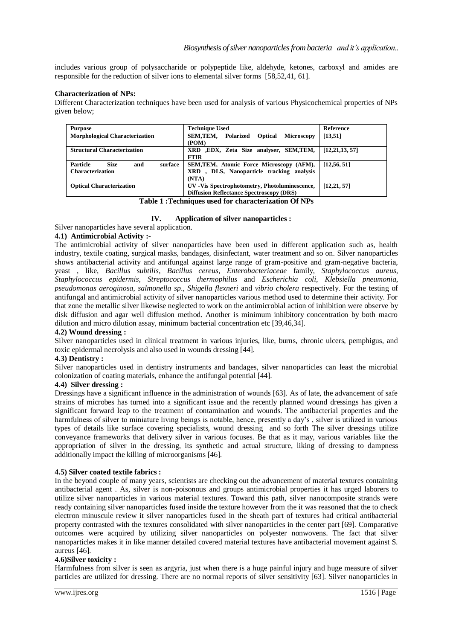includes various group of polysaccharide or polypeptide like, aldehyde, ketones, carboxyl and amides are responsible for the reduction of silver ions to elemental silver forms [58,52,41, 61].

## **Characterization of NPs:**

Different Characterization techniques have been used for analysis of various Physicochemical properties of NPs given below;

| <b>Purpose</b>                                   | <b>Technique Used</b>                                 | Reference        |
|--------------------------------------------------|-------------------------------------------------------|------------------|
| <b>Morphological Characterization</b>            | SEM.TEM.<br>Polarized<br>Microscopy<br><b>Optical</b> | [13, 51]         |
|                                                  | (POM)                                                 |                  |
| <b>Structural Characterization</b>               | XRD , EDX, Zeta Size analyser, SEM, TEM,              | [12, 21, 13, 57] |
|                                                  | <b>FTIR</b>                                           |                  |
| <b>Particle</b><br><b>Size</b><br>and<br>surface | SEM, TEM, Atomic Force Microscopy (AFM),              | [12, 56, 51]     |
| <b>Characterization</b>                          | XRD, DLS, Nanoparticle tracking analysis              |                  |
|                                                  | (NTA)                                                 |                  |
| <b>Optical Characterization</b>                  | UV - Vis Spectrophotometry, Photoluminescence,        | [12, 21, 57]     |
|                                                  | <b>Diffusion Reflectance Spectroscopy (DRS)</b>       |                  |

**Table 1 :Techniques used for characterization Of NPs**

# **IV. Application of silver nanoparticles :**

Silver nanoparticles have several application.

# **4.1) Antimicrobial Activity :-**

The antimicrobial activity of silver nanoparticles have been used in different application such as, health industry, textile coating, surgical masks, bandages, disinfectant, water treatment and so on. Silver nanoparticles shows antibacterial activity and antifungal against large range of gram-positive and gram-negative bacteria, yeast , like, *Bacillus subtilis*, *Bacillus cereus*, *Enterobacteriaceae* family, *Staphylococcus aureus*, *Staphylococcus epidermis*, *Streptococcus thermophilus* and *Escherichia coli*, *Klebsiella pneumonia*, *pseudomonas aeroginosa*, *salmonella sp*., *Shigella flexneri* and *vibrio cholera* respectively. For the testing of antifungal and antimicrobial activity of silver nanoparticles various method used to determine their activity. For that zone the metallic silver likewise neglected to work on the antimicrobial action of inhibition were observe by disk diffusion and agar well diffusion method. Another is minimum inhibitory concentration by both macro dilution and micro dilution assay, minimum bacterial concentration etc [39,46,34].

## **4.2) Wound dressing :**

Silver nanoparticles used in clinical treatment in various injuries, like, burns, chronic ulcers, pemphigus, and toxic epidermal necrolysis and also used in wounds dressing [44].

## **4.3) Dentistry :**

Silver nanoparticles used in dentistry instruments and bandages, silver nanoparticles can least the microbial colonization of coating materials, enhance the antifungal potential [44].

## **4.4) Silver dressing :**

Dressings have a significant influence in the administration of wounds [63]. As of late, the advancement of safe strains of microbes has turned into a significant issue and the recently planned wound dressings has given a significant forward leap to the treatment of contamination and wounds. The antibacterial properties and the harmfulness of silver to miniature living beings is notable, hence, presently a day's , silver is utilized in various types of details like surface covering specialists, wound dressing and so forth The silver dressings utilize conveyance frameworks that delivery silver in various focuses. Be that as it may, various variables like the appropriation of silver in the dressing, its synthetic and actual structure, liking of dressing to dampness additionally impact the killing of microorganisms [46].

## **4.5) Silver coated textile fabrics :**

In the beyond couple of many years, scientists are checking out the advancement of material textures containing antibacterial agent . As, silver is non-poisonous and groups antimicrobial properties it has urged laborers to utilize silver nanoparticles in various material textures. Toward this path, silver nanocomposite strands were ready containing silver nanoparticles fused inside the texture however from the it was reasoned that the to check electron minuscule review it silver nanoparticles fused in the sheath part of textures had critical antibacterial property contrasted with the textures consolidated with silver nanoparticles in the center part [69]. Comparative outcomes were acquired by utilizing silver nanoparticles on polyester nonwovens. The fact that silver nanoparticles makes it in like manner detailed covered material textures have antibacterial movement against S. aureus [46].

## **4.6)Silver toxicity :**

Harmfulness from silver is seen as argyria, just when there is a huge painful injury and huge measure of silver particles are utilized for dressing. There are no normal reports of silver sensitivity [63]. Silver nanoparticles in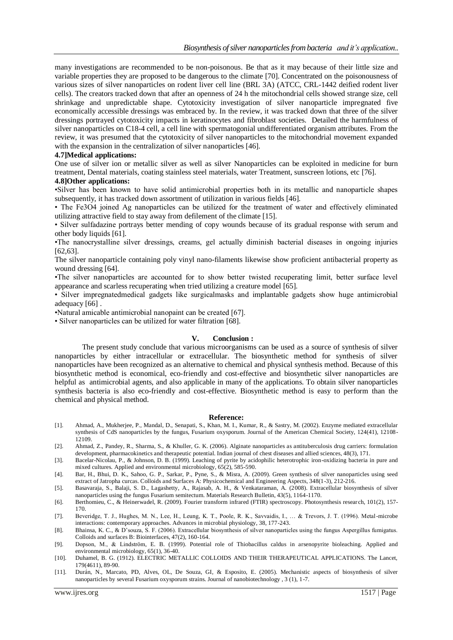many investigations are recommended to be non-poisonous. Be that as it may because of their little size and variable properties they are proposed to be dangerous to the climate [70]. Concentrated on the poisonousness of various sizes of silver nanoparticles on rodent liver cell line (BRL 3A) (ATCC, CRL-1442 deified rodent liver cells). The creators tracked down that after an openness of 24 h the mitochondrial cells showed strange size, cell shrinkage and unpredictable shape. Cytotoxicity investigation of silver nanoparticle impregnated five economically accessible dressings was embraced by. In the review, it was tracked down that three of the silver dressings portrayed cytotoxicity impacts in keratinocytes and fibroblast societies. Detailed the harmfulness of silver nanoparticles on C18-4 cell, a cell line with spermatogonial undifferentiated organism attributes. From the review, it was presumed that the cytotoxicity of silver nanoparticles to the mitochondrial movement expanded with the expansion in the centralization of silver nanoparticles [46].

#### **4.7]Medical applications:**

One use of silver ion or metallic silver as well as silver Nanoparticles can be exploited in medicine for burn treatment, Dental materials, coating stainless steel materials, water Treatment, sunscreen lotions, etc [76].

#### **4.8]Other applications:**

•Silver has been known to have solid antimicrobial properties both in its metallic and nanoparticle shapes subsequently, it has tracked down assortment of utilization in various fields [46].

• The Fe3O4 joined Ag nanoparticles can be utilized for the treatment of water and effectively eliminated utilizing attractive field to stay away from defilement of the climate [15].

• Silver sulfadazine portrays better mending of copy wounds because of its gradual response with serum and other body liquids [61].

•The nanocrystalline silver dressings, creams, gel actually diminish bacterial diseases in ongoing injuries [62,63].

The silver nanoparticle containing poly vinyl nano-filaments likewise show proficient antibacterial property as wound dressing [64].

•The silver nanoparticles are accounted for to show better twisted recuperating limit, better surface level appearance and scarless recuperating when tried utilizing a creature model [65].

• Silver impregnatedmedical gadgets like surgicalmasks and implantable gadgets show huge antimicrobial adequacy [66] .

•Natural amicable antimicrobial nanopaint can be created [67].

• Silver nanoparticles can be utilized for water filtration [68].

#### **V. Conclusion :**

The present study conclude that various microorganisms can be used as a source of synthesis of silver nanoparticles by either intracellular or extracellular. The biosynthetic method for synthesis of silver nanoparticles have been recognized as an alternative to chemical and physical synthesis method. Because of this biosynthetic method is economical, eco-friendly and cost-effective and biosynthetic silver nanoparticles are helpful as antimicrobial agents, and also applicable in many of the applications. To obtain silver nanoparticles synthesis bacteria is also eco-friendly and cost-effective. Biosynthetic method is easy to perform than the chemical and physical method.

#### **Reference:**

- [1]. Ahmad, A., Mukherjee, P., Mandal, D., Senapati, S., Khan, M. I., Kumar, R., & Sastry, M. (2002). Enzyme mediated extracellular synthesis of CdS nanoparticles by the fungus, Fusarium oxysporum. Journal of the American Chemical Society, 124(41), 12108- 12109.
- [2]. Ahmad, Z., Pandey, R., Sharma, S., & Khuller, G. K. (2006). Alginate nanoparticles as antituberculosis drug carriers: formulation development, pharmacokinetics and therapeutic potential. Indian journal of chest diseases and allied sciences, 48(3), 171.
- [3]. Bacelar-Nicolau, P., & Johnson, D. B. (1999). Leaching of pyrite by acidophilic heterotrophic iron-oxidizing bacteria in pure and mixed cultures. Applied and environmental microbiology, 65(2), 585-590.
- [4]. Bar, H., Bhui, D. K., Sahoo, G. P., Sarkar, P., Pyne, S., & Misra, A. (2009). Green synthesis of silver nanoparticles using seed extract of Jatropha curcas. Colloids and Surfaces A: Physicochemical and Engineering Aspects, 348(1-3), 212-216.
- [5]. Basavaraja, S., Balaji, S. D., Lagashetty, A., Rajasab, A. H., & Venkataraman, A. (2008). Extracellular biosynthesis of silver nanoparticles using the fungus Fusarium semitectum. Materials Research Bulletin, 43(5), 1164-1170.
- [6]. Berthomieu, C., & Heinerwadel, R. (2009). Fourier transform infrared (FTIR) spectroscopy. Photosynthesis research, 101(2), 157-170.
- [7]. Beveridge, T. J., Hughes, M. N., Lee, H., Leung, K. T., Poole, R. K., Savvaidis, I., … & Trevors, J. T. (1996). Metal-microbe interactions: contemporary approaches. Advances in microbial physiology, 38, 177-243.
- [8]. Bhainsa, K. C., & D'souza, S. F. (2006). Extracellular biosynthesis of silver nanoparticles using the fungus Aspergillus fumigatus. Colloids and surfaces B: Biointerfaces, 47(2), 160-164.
- [9]. Dopson, M., & Lindström, E. B. (1999). Potential role of Thiobacillus caldus in arsenopyrite bioleaching. Applied and environmental microbiology, 65(1), 36-40.
- [10]. Duhamel, B. G. (1912). ELECTRIC METALLIC COLLOIDS AND THEIR THERAPEUTICAL APPLICATIONS. The Lancet, 179(4611), 89-90.
- [11]. Durán, N., Marcato, PD, Alves, OL, De Souza, GI, & Esposito, E. (2005). Mechanistic aspects of biosynthesis of silver nanoparticles by several Fusarium oxysporum strains. Journal of nanobiotechnology , 3 (1), 1-7.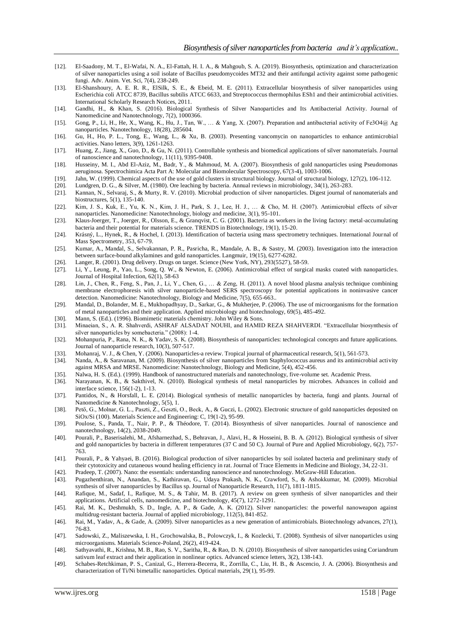- [12]. El-Saadony, M. T., El-Wafai, N. A., El-Fattah, H. I. A., & Mahgoub, S. A. (2019). Biosynthesis, optimization and characterization of silver nanoparticles using a soil isolate of Bacillus pseudomycoides MT32 and their antifungal activity against some pathogenic fungi. Adv. Anim. Vet. Sci, 7(4), 238-249.
- [13]. El-Shanshoury, A. E. R. R., ElSilk, S. E., & Ebeid, M. E. (2011). Extracellular biosynthesis of silver nanoparticles using Escherichia coli ATCC 8739, Bacillus subtilis ATCC 6633, and Streptococcus thermophilus ESh1 and their antimicrobial activities. International Scholarly Research Notices, 2011.
- [14]. Gandhi, H., & Khan, S. (2016). Biological Synthesis of Silver Nanoparticles and Its Antibacterial Activity. Journal of Nanomedicine and Nanotechnology, 7(2), 1000366.
- [15]. Gong, P., Li, H., He, X., Wang, K., Hu, J., Tan, W., … & Yang, X. (2007). Preparation and antibacterial activity of Fe3O4@ Ag nanoparticles. Nanotechnology, 18(28), 285604.
- [16]. Gu, H., Ho, P. L., Tong, E., Wang, L., & Xu, B. (2003). Presenting vancomycin on nanoparticles to enhance antimicrobial activities. Nano letters, 3(9), 1261-1263.
- [17]. Huang, Z., Jiang, X., Guo, D., & Gu, N. (2011). Controllable synthesis and biomedical applications of silver nanomaterials. Journal of nanoscience and nanotechnology, 11(11), 9395-9408.
- [18]. Husseiny, M. I., Abd El-Aziz, M., Badr, Y., & Mahmoud, M. A. (2007). Biosynthesis of gold nanoparticles using Pseudomonas aeruginosa. Spectrochimica Acta Part A: Molecular and Biomolecular Spectroscopy, 67(3-4), 1003-1006.
- [19]. Jahn, W. (1999). Chemical aspects of the use of gold clusters in structural biology. Journal of structural biology, 127(2), 106-112.<br>[20] Lundgren, D. G., & Silver, M. (1980). Ore leaching by bacteria. Annual review
- [20]. Lundgren, D. G., & Silver, M. (1980). Ore leaching by bacteria. Annual reviews in microbiology, 34(1), 263-283.
- [21]. Kannan, N., Selvaraj, S., & Murty, R. V. (2010). Microbial production of silver nanoparticles. Digest journal of nanomaterials and biostructures, 5(1), 135-140.
- [22]. Kim, J. S., Kuk, E., Yu, K. N., Kim, J. H., Park, S. J., Lee, H. J., … & Cho, M. H. (2007). Antimicrobial effects of silver nanoparticles. Nanomedicine: Nanotechnology, biology and medicine, 3(1), 95-101.
- [23]. Klaus-Joerger, T., Joerger, R., Olsson, E., & Granqvist, C. G. (2001). Bacteria as workers in the living factory: metal-accumulating bacteria and their potential for materials science. TRENDS in Biotechnology, 19(1), 15-20.
- [24]. Krásný, L., Hynek, R., & Hochel, I. (2013). Identification of bacteria using mass spectrometry techniques. International Journal of Mass Spectrometry, 353, 67-79.
- [25]. Kumar, A., Mandal, S., Selvakannan, P. R., Pasricha, R., Mandale, A. B., & Sastry, M. (2003). Investigation into the interaction between surface-bound alkylamines and gold nanoparticles. Langmuir, 19(15), 6277-6282.
- [26]. Langer, R. (2001). Drug delivery. Drugs on target. Science (New York, NY), 293(5527), 58-59.
- [27]. Li, Y., Leung, P., Yao, L., Song, Q. W., & Newton, E. (2006). Antimicrobial effect of surgical masks coated with nanoparticles. Journal of Hospital Infection, 62(1), 58-63
- [28]. Lin, J., Chen, R., Feng, S., Pan, J., Li, Y., Chen, G., … & Zeng, H. (2011). A novel blood plasma analysis technique combining membrane electrophoresis with silver nanoparticle-based SERS spectroscopy for potential applications in noninvasive cancer detection. Nanomedicine: Nanotechnology, Biology and Medicine, 7(5), 655-663..
- [29]. Mandal, D., Bolander, M. E., Mukhopadhyay, D., Sarkar, G., & Mukherjee, P. (2006). The use of microorganisms for the formation of metal nanoparticles and their application. Applied microbiology and biotechnology, 69(5), 485-492.
- [30]. Mann, S. (Ed.). (1996). Biomimetic materials chemistry. John Wiley & Sons.
- [31]. Minaeian, S., A. R. Shahverdi, ASHRAF ALSADAT NOUHI, and HAMID REZA SHAHVERDI. "Extracellular biosynthesis of silver nanoparticles by somebacteria." (2008): 1-4.
- [32]. Mohanpuria, P., Rana, N. K., & Yadav, S. K. (2008). Biosynthesis of nanoparticles: technological concepts and future applications. Journal of nanoparticle research, 10(3), 507-517.
- [33]. Mohanraj, V. J., & Chen, Y. (2006). Nanoparticles-a review. Tropical journal of pharmaceutical research, 5(1), 561-573.<br>[34]. Nanda, A., & Saravanan, M. (2009). Biosynthesis of silver nanoparticles from Staphylococcu
- Nanda, A., & Saravanan, M. (2009). Biosynthesis of silver nanoparticles from Staphylococcus aureus and its antimicrobial activity against MRSA and MRSE. Nanomedicine: Nanotechnology, Biology and Medicine, 5(4), 452-456.
- [35]. Nalwa, H. S. (Ed.). (1999). Handbook of nanostructured materials and nanotechnology, five-volume set. Academic Press.
- [36]. Narayanan, K. B., & Sakthivel, N. (2010). Biological synthesis of metal nanoparticles by microbes. Advances in colloid and interface science, 156(1-2), 1-13.
- [37]. Pantidos, N., & Horsfall, L. E. (2014). Biological synthesis of metallic nanoparticles by bacteria, fungi and plants. Journal of Nanomedicine & Nanotechnology, 5(5), 1.
- [38]. Pető, G., Molnar, G. L., Paszti, Z., Geszti, O., Beck, A., & Guczi, L. (2002). Electronic structure of gold nanoparticles deposited on SiOx/Si (100). Materials Science and Engineering: C, 19(1-2), 95-99.
- [39]. Poulose, S., Panda, T., Nair, P. P., & Théodore, T. (2014). Biosynthesis of silver nanoparticles. Journal of nanoscience and nanotechnology, 14(2), 2038-2049.
- [40]. Pourali, P., Baserisalehi, M., Afsharnezhad, S., Behravan, J., Alavi, H., & Hosseini, B. B. A. (2012). Biological synthesis of silver and gold nanoparticles by bacteria in different temperatures (37 C and 50 C). Journal of Pure and Applied Microbiology, 6(2), 757- 763.
- [41]. Pourali, P., & Yahyaei, B. (2016). Biological production of silver nanoparticles by soil isolated bacteria and preliminary study of their cytotoxicity and cutaneous wound healing efficiency in rat. Journal of Trace Elements in Medicine and Biology, 34, 22-31.
- [42]. Pradeep, T. (2007). Nano: the essentials: understanding nanoscience and nanotechnology. McGraw-Hill Education.
- [43]. Pugazhenthiran, N., Anandan, S., Kathiravan, G., Udaya Prakash, N. K., Crawford, S., & Ashokkumar, M. (2009). Microbial synthesis of silver nanoparticles by Bacillus sp. Journal of Nanoparticle Research, 11(7), 1811-1815.
- [44]. Rafique, M., Sadaf, I., Rafique, M. S., & Tahir, M. B. (2017). A review on green synthesis of silver nanoparticles and their applications. Artificial cells, nanomedicine, and biotechnology, 45(7), 1272-1291.
- [45]. Rai, M. K., Deshmukh, S. D., Ingle, A. P., & Gade, A. K. (2012). Silver nanoparticles: the powerful nanoweapon against multidrug‐resistant bacteria. Journal of applied microbiology, 112(5), 841-852.
- [46]. Rai, M., Yadav, A., & Gade, A. (2009). Silver nanoparticles as a new generation of antimicrobials. Biotechnology advances, 27(1), 76-83.
- [47]. Sadowski, Z., Maliszewska, I. H., Grochowalska, B., Polowczyk, I., & Kozlecki, T. (2008). Synthesis of silver nanoparticles u sing microorganisms. Materials Science-Poland, 26(2), 419-424.
- [48]. Sathyavathi, R., Krishna, M. B., Rao, S. V., Saritha, R., & Rao, D. N. (2010). Biosynthesis of silver nanoparticles using Coriandrum sativum leaf extract and their application in nonlinear optics. Advanced science letters, 3(2), 138-143.
- [49]. Schabes-Retchkiman, P. S., Canizal, G., Herrera-Becerra, R., Zorrilla, C., Liu, H. B., & Ascencio, J. A. (2006). Biosynthesis and characterization of Ti/Ni bimetallic nanoparticles. Optical materials, 29(1), 95-99.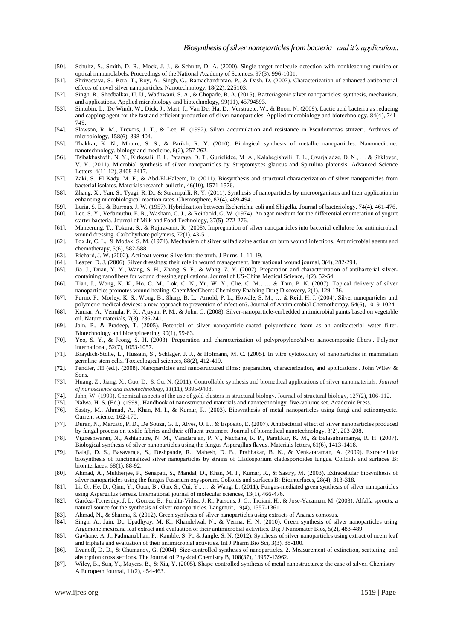- [50]. Schultz, S., Smith, D. R., Mock, J. J., & Schultz, D. A. (2000). Single-target molecule detection with nonbleaching multicolor optical immunolabels. Proceedings of the National Academy of Sciences, 97(3), 996-1001.
- [51]. Shrivastava, S., Bera, T., Roy, A., Singh, G., Ramachandrarao, P., & Dash, D. (2007). Characterization of enhanced antibacterial effects of novel silver nanoparticles. Nanotechnology, 18(22), 225103.
- [52]. Singh, R., Shedbalkar, U. U., Wadhwani, S. A., & Chopade, B. A. (2015). Bacteriagenic silver nanoparticles: synthesis, mechanism, and applications. Applied microbiology and biotechnology, 99(11), 45794593.
- [53]. Sintubin, L., De Windt, W., Dick, J., Mast, J., Van Der Ha, D., Verstraete, W., & Boon, N. (2009). Lactic acid bacteria as reducing and capping agent for the fast and efficient production of silver nanoparticles. Applied microbiology and biotechnology, 84(4), 741- 749.
- [54]. Slawson, R. M., Trevors, J. T., & Lee, H. (1992). Silver accumulation and resistance in Pseudomonas stutzeri. Archives of microbiology, 158(6), 398-404.
- [55]. Thakkar, K. N., Mhatre, S. S., & Parikh, R. Y. (2010). Biological synthesis of metallic nanoparticles. Nanomedicine: nanotechnology, biology and medicine, 6(2), 257-262.
- [56]. Tsibakhashvili, N. Y., Kirkesali, E. I., Pataraya, D. T., Gurielidze, M. A., Kalabegishvili, T. L., Gvarjaladze, D. N., … & Shklover, V. Y. (2011). Microbial synthesis of silver nanoparticles by Streptomyces glaucus and Spirulina platensis. Advanced Science Letters, 4(11-12), 3408-3417.
- [57]. Zaki, S., El Kady, M. F., & Abd-El-Haleem, D. (2011). Biosynthesis and structural characterization of silver nanoparticles from bacterial isolates. Materials research bulletin, 46(10), 1571-1576.
- [58]. Zhang, X., Yan, S., Tyagi, R. D., & Surampalli, R. Y. (2011). Synthesis of nanoparticles by microorganisms and their application in enhancing microbiological reaction rates. Chemosphere, 82(4), 489-494.
- [59]. Luria, S. E., & Burrous, J. W. (1957). Hybridization between Escherichia coli and Shigella. Journal of bacteriology, 74(4), 461-476.
- [60]. Lee, S. Y., Vedamuthu, E. R., Washam, C. J., & Reinbold, G. W. (1974). An agar medium for the differential enumeration of yogurt starter bacteria. Journal of Milk and Food Technology, 37(5), 272-276.
- [61]. Maneerung, T., Tokura, S., & Rujiravanit, R. (2008). Impregnation of silver nanoparticles into bacterial cellulose for antimicrobial wound dressing. Carbohydrate polymers, 72(1), 43-51.
- [62]. Fox Jr, C. L., & Modak, S. M. (1974). Mechanism of silver sulfadiazine action on burn wound infections. Antimicrobial agents and chemotherapy, 5(6), 582-588.
- [63]. Richard, J. W. (2002). Acticoat versus Silverlon: the truth. J Burns, 1, 11-19. [64]. Leaper, D. J. (2006). Silver dressings: their role in wound management. Inter
- Leaper, D. J. (2006). Silver dressings: their role in wound management. International wound journal, 3(4), 282-294.
- [65]. Jia, J., Duan, Y. Y., Wang, S. H., Zhang, S. F., & Wang, Z. Y. (2007). Preparation and characterization of antibacterial silvercontaining nanofibers for wound dressing applications. Journal of US-China Medical Science, 4(2), 52-54.
- [66]. Tian, J., Wong, K. K., Ho, C. M., Lok, C. N., Yu, W. Y., Che, C. M., … & Tam, P. K. (2007). Topical delivery of silver nanoparticles promotes wound healing. ChemMedChem: Chemistry Enabling Drug Discovery, 2(1), 129-136.
- [67]. Furno, F., Morley, K. S., Wong, B., Sharp, B. L., Arnold, P. L., Howdle, S. M., … & Reid, H. J. (2004). Silver nanoparticles and polymeric medical devices: a new approach to prevention of infection?. Journal of Antimicrobial Chemotherapy, 54(6), 1019-1024.
- [68]. Kumar, A., Vemula, P. K., Ajayan, P. M., & John, G. (2008). Silver-nanoparticle-embedded antimicrobial paints based on vegetable oil. Nature materials, 7(3), 236-241.
- [69]. Jain, P., & Pradeep, T. (2005). Potential of silver nanoparticle‐coated polyurethane foam as an antibacterial water filter. Biotechnology and bioengineering, 90(1), 59-63.
- [70]. Yeo, S. Y., & Jeong, S. H. (2003). Preparation and characterization of polypropylene/silver nanocomposite fibers.. Polymer international, 52(7), 1053-1057.
- [71]. Braydich-Stolle, L., Hussain, S., Schlager, J. J., & Hofmann, M. C. (2005). In vitro cytotoxicity of nanoparticles in mammalian germline stem cells. Toxicological sciences, 88(2), 412-419.
- [72]. Fendler, JH (ed.). (2008). Nanoparticles and nanostructured films: preparation, characterization, and applications . John Wiley & Sons.
- [73]. Huang, Z., Jiang, X., Guo, D., & Gu, N. (2011). Controllable synthesis and biomedical applications of silver nanomaterials. *Journal of nanoscience and nanotechnology*, *11*(11), 9395-9408.
- [74]. Jahn, W. (1999). Chemical aspects of the use of gold clusters in structural biology. Journal of structural biology, 127(2), 106-112.
- [75]. Nalwa, H. S. (Ed.). (1999). Handbook of nanostructured materials and nanotechnology, five-volume set. Academic Press.
- [76]. Sastry, M., Ahmad, A., Khan, M. I., & Kumar, R. (2003). Biosynthesis of metal nanoparticles using fungi and actinomycete. Current science, 162-170.
- [77]. Durán, N., Marcato, P. D., De Souza, G. I., Alves, O. L., & Esposito, E. (2007). Antibacterial effect of silver nanoparticles produced by fungal process on textile fabrics and their effluent treatment. Journal of biomedical nanotechnology, 3(2), 203-208.
- [78]. Vigneshwaran, N., Ashtaputre, N. M., Varadarajan, P. V., Nachane, R. P., Paralikar, K. M., & Balasubramanya, R. H. (2007). Biological synthesis of silver nanoparticles using the fungus Aspergillus flavus. Materials letters, 61(6), 1413-1418.
- [79]. Balaji, D. S., Basavaraja, S., Deshpande, R., Mahesh, D. B., Prabhakar, B. K., & Venkataraman, A. (2009). Extracellular biosynthesis of functionalized silver nanoparticles by strains of Cladosporium cladosporioides fungus. Colloids and surfaces B: biointerfaces, 68(1), 88-92.
- [80]. Ahmad, A., Mukherjee, P., Senapati, S., Mandal, D., Khan, M. I., Kumar, R., & Sastry, M. (2003). Extracellular biosynthesis of silver nanoparticles using the fungus Fusarium oxysporum. Colloids and surfaces B: Biointerfaces, 28(4), 313-318.
- [81]. Li, G., He, D., Qian, Y., Guan, B., Gao, S., Cui, Y., … & Wang, L. (2011). Fungus-mediated green synthesis of silver nanoparticles using Aspergillus terreus. International journal of molecular sciences, 13(1), 466-476.
- [82]. Gardea-Torresdey, J. L., Gomez, E., Peralta-Videa, J. R., Parsons, J. G., Troiani, H., & Jose-Yacaman, M. (2003). Alfalfa sprouts: a natural source for the synthesis of silver nanoparticles. Langmuir, 19(4), 1357-1361.
- [83]. Ahmad, N., & Sharma, S. (2012). Green synthesis of silver nanoparticles using extracts of Ananas comosus.
- [84]. Singh, A., Jain, D., Upadhyay, M. K., Khandelwal, N., & Verma, H. N. (2010). Green synthesis of silver nanoparticles using Argemone mexicana leaf extract and evaluation of their antimicrobial activities. Dig J Nanomater Bios, 5(2), 483-489.
- [85]. Gavhane, A. J., Padmanabhan, P., Kamble, S. P., & Jangle, S. N. (2012). Synthesis of silver nanoparticles using extract of neem leaf and triphala and evaluation of their antimicrobial activities. Int J Pharm Bio Sci, 3(3), 88-100.
- [86]. Evanoff, D. D., & Chumanov, G. (2004). Size-controlled synthesis of nanoparticles. 2. Measurement of extinction, scattering, and absorption cross sections. The Journal of Physical Chemistry B, 108(37), 13957-13962.
- [87]. Wiley, B., Sun, Y., Mayers, B., & Xia, Y. (2005). Shape-controlled synthesis of metal nanostructures: the case of silver. Chemistry– A European Journal, 11(2), 454-463.